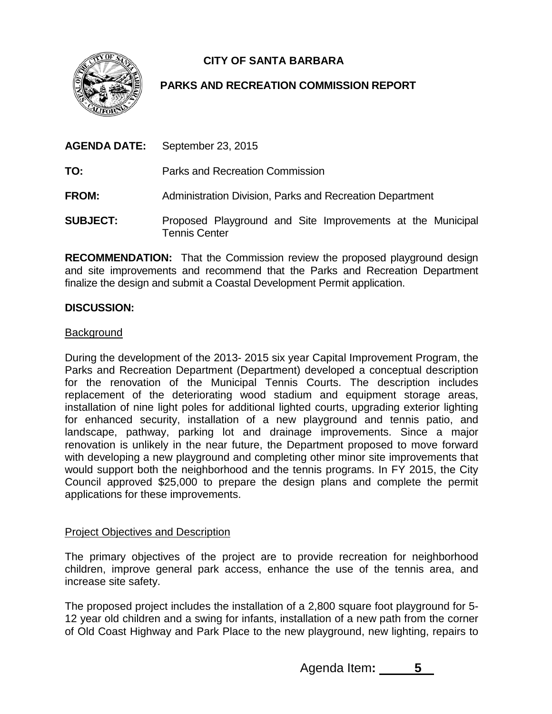**CITY OF SANTA BARBARA**



# **PARKS AND RECREATION COMMISSION REPORT**

| <b>AGENDA DATE:</b> | September 23, 2015                                                                 |
|---------------------|------------------------------------------------------------------------------------|
| TO:                 | Parks and Recreation Commission                                                    |
| <b>FROM:</b>        | Administration Division, Parks and Recreation Department                           |
| <b>SUBJECT:</b>     | Proposed Playground and Site Improvements at the Municipal<br><b>Tennis Center</b> |

**RECOMMENDATION:** That the Commission review the proposed playground design and site improvements and recommend that the Parks and Recreation Department finalize the design and submit a Coastal Development Permit application.

## **DISCUSSION:**

### Background

During the development of the 2013- 2015 six year Capital Improvement Program, the Parks and Recreation Department (Department) developed a conceptual description for the renovation of the Municipal Tennis Courts. The description includes replacement of the deteriorating wood stadium and equipment storage areas, installation of nine light poles for additional lighted courts, upgrading exterior lighting for enhanced security, installation of a new playground and tennis patio, and landscape, pathway, parking lot and drainage improvements. Since a major renovation is unlikely in the near future, the Department proposed to move forward with developing a new playground and completing other minor site improvements that would support both the neighborhood and the tennis programs. In FY 2015, the City Council approved \$25,000 to prepare the design plans and complete the permit applications for these improvements.

### Project Objectives and Description

The primary objectives of the project are to provide recreation for neighborhood children, improve general park access, enhance the use of the tennis area, and increase site safety.

The proposed project includes the installation of a 2,800 square foot playground for 5- 12 year old children and a swing for infants, installation of a new path from the corner of Old Coast Highway and Park Place to the new playground, new lighting, repairs to

Agenda Item**: 5**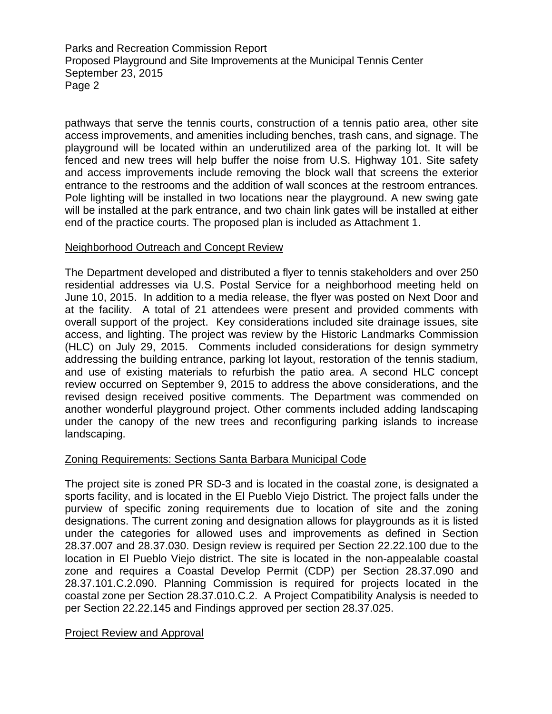Parks and Recreation Commission Report Proposed Playground and Site Improvements at the Municipal Tennis Center September 23, 2015 Page 2

pathways that serve the tennis courts, construction of a tennis patio area, other site access improvements, and amenities including benches, trash cans, and signage. The playground will be located within an underutilized area of the parking lot. It will be fenced and new trees will help buffer the noise from U.S. Highway 101. Site safety and access improvements include removing the block wall that screens the exterior entrance to the restrooms and the addition of wall sconces at the restroom entrances. Pole lighting will be installed in two locations near the playground. A new swing gate will be installed at the park entrance, and two chain link gates will be installed at either end of the practice courts. The proposed plan is included as Attachment 1.

## Neighborhood Outreach and Concept Review

The Department developed and distributed a flyer to tennis stakeholders and over 250 residential addresses via U.S. Postal Service for a neighborhood meeting held on June 10, 2015. In addition to a media release, the flyer was posted on Next Door and at the facility. A total of 21 attendees were present and provided comments with overall support of the project. Key considerations included site drainage issues, site access, and lighting. The project was review by the Historic Landmarks Commission (HLC) on July 29, 2015. Comments included considerations for design symmetry addressing the building entrance, parking lot layout, restoration of the tennis stadium, and use of existing materials to refurbish the patio area. A second HLC concept review occurred on September 9, 2015 to address the above considerations, and the revised design received positive comments. The Department was commended on another wonderful playground project. Other comments included adding landscaping under the canopy of the new trees and reconfiguring parking islands to increase landscaping.

# Zoning Requirements: Sections Santa Barbara Municipal Code

The project site is zoned PR SD-3 and is located in the coastal zone, is designated a sports facility, and is located in the El Pueblo Viejo District. The project falls under the purview of specific zoning requirements due to location of site and the zoning designations. The current zoning and designation allows for playgrounds as it is listed under the categories for allowed uses and improvements as defined in Section 28.37.007 and 28.37.030. Design review is required per Section 22.22.100 due to the location in El Pueblo Viejo district. The site is located in the non-appealable coastal zone and requires a Coastal Develop Permit (CDP) per Section 28.37.090 and 28.37.101.C.2.090. Planning Commission is required for projects located in the coastal zone per Section 28.37.010.C.2. A Project Compatibility Analysis is needed to per Section 22.22.145 and Findings approved per section 28.37.025.

### Project Review and Approval